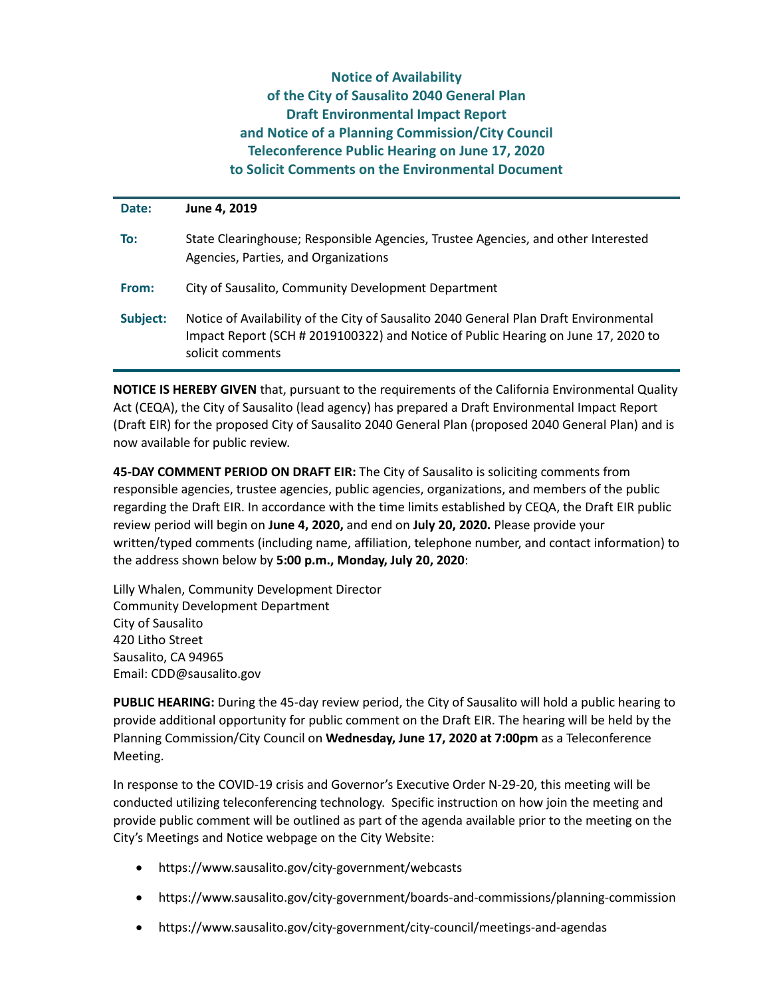## **Notice of Availability of the City of Sausalito 2040 General Plan Draft Environmental Impact Report and Notice of a Planning Commission/City Council Teleconference Public Hearing on June 17, 2020 to Solicit Comments on the Environmental Document**

| Date:    | June 4, 2019                                                                                                                                                                                   |
|----------|------------------------------------------------------------------------------------------------------------------------------------------------------------------------------------------------|
| To:      | State Clearinghouse; Responsible Agencies, Trustee Agencies, and other Interested<br>Agencies, Parties, and Organizations                                                                      |
| From:    | City of Sausalito, Community Development Department                                                                                                                                            |
| Subject: | Notice of Availability of the City of Sausalito 2040 General Plan Draft Environmental<br>Impact Report (SCH # 2019100322) and Notice of Public Hearing on June 17, 2020 to<br>solicit comments |

**NOTICE IS HEREBY GIVEN** that, pursuant to the requirements of the California Environmental Quality Act (CEQA), the City of Sausalito (lead agency) has prepared a Draft Environmental Impact Report (Draft EIR) for the proposed City of Sausalito 2040 General Plan (proposed 2040 General Plan) and is now available for public review.

**45-DAY COMMENT PERIOD ON DRAFT EIR:** The City of Sausalito is soliciting comments from responsible agencies, trustee agencies, public agencies, organizations, and members of the public regarding the Draft EIR. In accordance with the time limits established by CEQA, the Draft EIR public review period will begin on **June 4, 2020,** and end on **July 20, 2020.** Please provide your written/typed comments (including name, affiliation, telephone number, and contact information) to the address shown below by **5:00 p.m., Monday, July 20, 2020**:

Lilly Whalen, Community Development Director Community Development Department City of Sausalito 420 Litho Street Sausalito, CA 94965 Email: CDD@sausalito.gov

**PUBLIC HEARING:** During the 45-day review period, the City of Sausalito will hold a public hearing to provide additional opportunity for public comment on the Draft EIR. The hearing will be held by the Planning Commission/City Council on **Wednesday, June 17, 2020 at 7:00pm** as a Teleconference Meeting.

In response to the COVID-19 crisis and Governor's Executive Order N-29-20, this meeting will be conducted utilizing teleconferencing technology. Specific instruction on how join the meeting and provide public comment will be outlined as part of the agenda available prior to the meeting on the City's Meetings and Notice webpage on the City Website:

- https://www.sausalito.gov/city-government/webcasts
- https://www.sausalito.gov/city-government/boards-and-commissions/planning-commission
- https://www.sausalito.gov/city-government/city-council/meetings-and-agendas